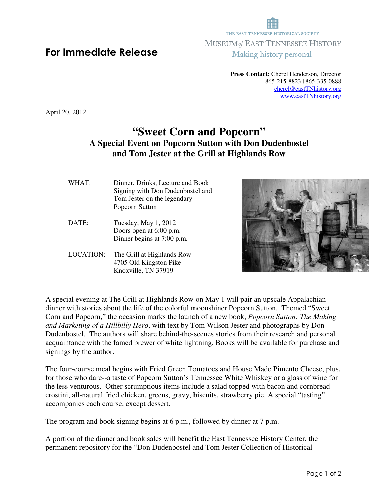## THE EAST TENNESSEE HISTORICAL SOCIETY MUSEUM of EAST TENNESSEE HISTORY Making history personal

**Press Contact:** Cherel Henderson, Director 865-215-8823 | 865-335-0888 cherel@eastTNhistory.org www.eastTNhistory.org

April 20, 2012

## **"Sweet Corn and Popcorn" A Special Event on Popcorn Sutton with Don Dudenbostel and Tom Jester at the Grill at Highlands Row**

- WHAT:Dinner, Drinks, Lecture and Book Signing with Don Dudenbostel and Tom Jester on the legendary Popcorn Sutton
- DATE: Tuesday, May 1, 2012 Doors open at 6:00 p.m. Dinner begins at 7:00 p.m.
- LOCATION: The Grill at Highlands Row 4705 Old Kingston Pike Knoxville, TN 37919



A special evening at The Grill at Highlands Row on May 1 will pair an upscale Appalachian dinner with stories about the life of the colorful moonshiner Popcorn Sutton. Themed "Sweet Corn and Popcorn," the occasion marks the launch of a new book, *Popcorn Sutton: The Making and Marketing of a Hillbilly Hero*, with text by Tom Wilson Jester and photographs by Don Dudenbostel. The authors will share behind-the-scenes stories from their research and personal acquaintance with the famed brewer of white lightning. Books will be available for purchase and signings by the author.

The four-course meal begins with Fried Green Tomatoes and House Made Pimento Cheese, plus, for those who dare--a taste of Popcorn Sutton's Tennessee White Whiskey or a glass of wine for the less venturous. Other scrumptious items include a salad topped with bacon and cornbread crostini, all-natural fried chicken, greens, gravy, biscuits, strawberry pie. A special "tasting" accompanies each course, except dessert.

The program and book signing begins at 6 p.m., followed by dinner at 7 p.m.

A portion of the dinner and book sales will benefit the East Tennessee History Center, the permanent repository for the "Don Dudenbostel and Tom Jester Collection of Historical